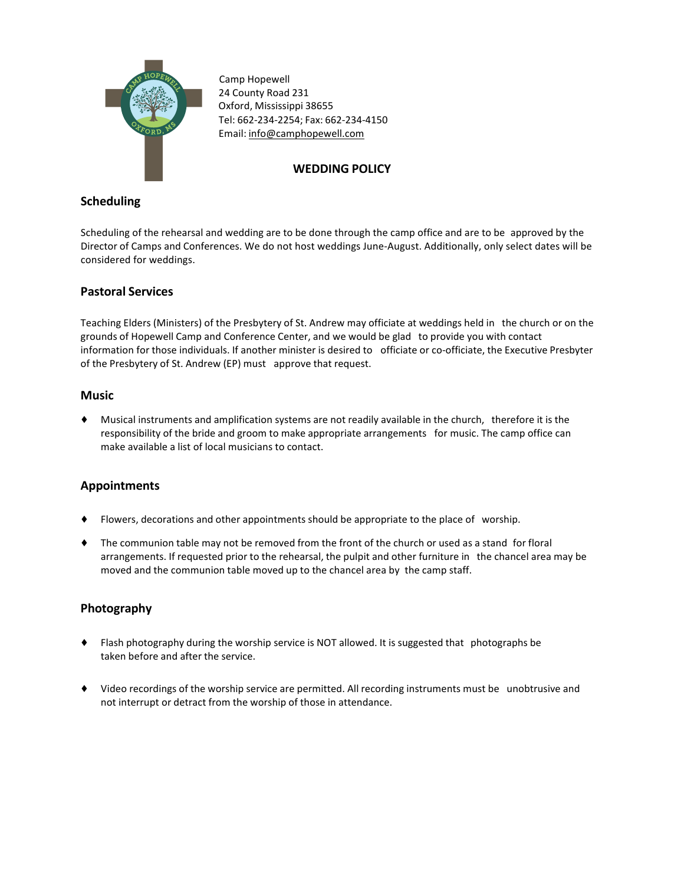

 Camp Hopewell 24 County Road 231 Oxford, Mississippi 38655 Tel: 662-234-2254; Fax: 662-234-4150 Email: info@camphopewell.com

## **WEDDING POLICY**

## **Scheduling**

Scheduling of the rehearsal and wedding are to be done through the camp office and are to be approved by the Director of Camps and Conferences. We do not host weddings June-August. Additionally, only select dates will be considered for weddings.

### **Pastoral Services**

Teaching Elders (Ministers) of the Presbytery of St. Andrew may officiate at weddings held in the church or on the grounds of Hopewell Camp and Conference Center, and we would be glad to provide you with contact information for those individuals. If another minister is desired to officiate or co-officiate, the Executive Presbyter of the Presbytery of St. Andrew (EP) must approve that request.

#### **Music**

◆ Musical instruments and amplification systems are not readily available in the church, therefore it is the responsibility of the bride and groom to make appropriate arrangements for music. The camp office can make available a list of local musicians to contact.

# **Appointments**

- ◆ Flowers, decorations and other appointments should be appropriate to the place of worship.
- $\bullet$  The communion table may not be removed from the front of the church or used as a stand for floral arrangements. If requested prior to the rehearsal, the pulpit and other furniture in the chancel area may be moved and the communion table moved up to the chancel area by the camp staff.

# **Photography**

- ◆ Flash photography during the worship service is NOT allowed. It is suggested that photographs be taken before and after the service.
- ◆ Video recordings of the worship service are permitted. All recording instruments must be unobtrusive and not interrupt or detract from the worship of those in attendance.